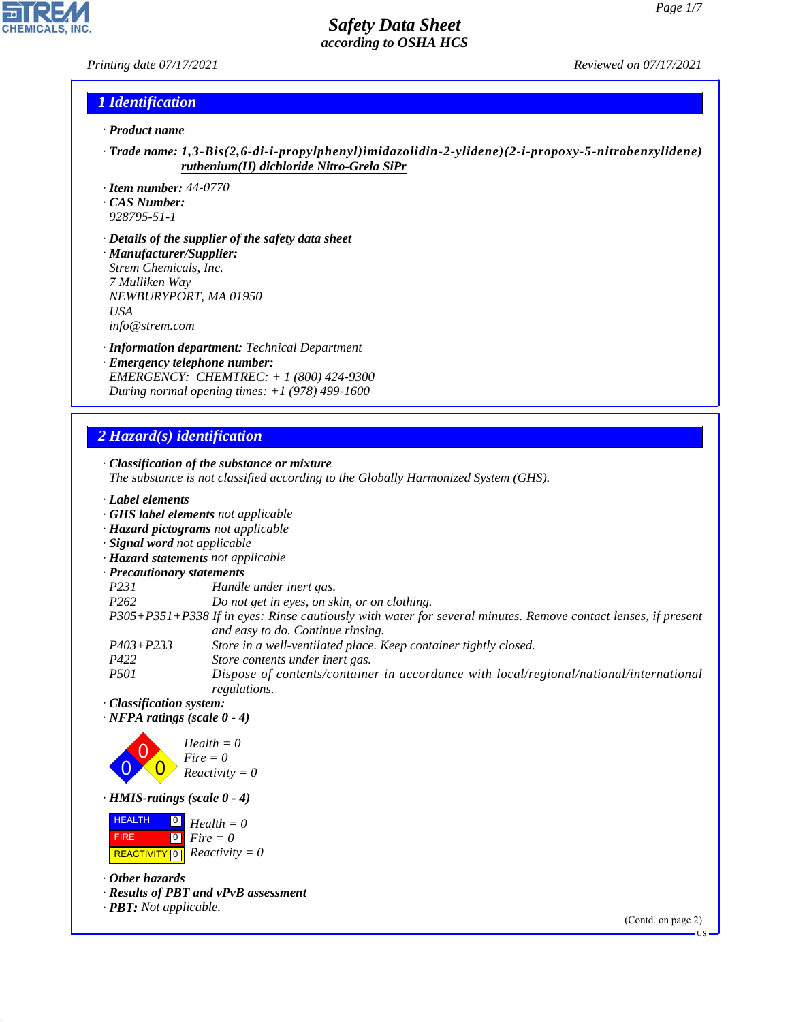#### *Printing date 07/17/2021 Reviewed on 07/17/2021*

 $\overline{\phantom{a}}$ 

**CHEMICALS, INC.** 

#### *1 Identification*

- *· Product name*
- *· Trade name: 1,3-Bis(2,6-di-i-propylphenyl)imidazolidin-2-ylidene)(2-i-propoxy-5-nitrobenzylidene) ruthenium(II) dichloride Nitro-Grela SiPr*
- *· Item number: 44-0770*
- *· CAS Number:*
- *928795-51-1*
- *· Details of the supplier of the safety data sheet · Manufacturer/Supplier: Strem Chemicals, Inc. 7 Mulliken Way NEWBURYPORT, MA 01950 USA info@strem.com*
- *· Information department: Technical Department · Emergency telephone number: EMERGENCY: CHEMTREC: + 1 (800) 424-9300 During normal opening times: +1 (978) 499-1600*

# *2 Hazard(s) identification*

44.1.1

|                                          | · Classification of the substance or mixture<br>The substance is not classified according to the Globally Harmonized System (GHS). |
|------------------------------------------|------------------------------------------------------------------------------------------------------------------------------------|
| Label elements                           |                                                                                                                                    |
|                                          | GHS label elements not applicable                                                                                                  |
|                                          | · Hazard pictograms not applicable                                                                                                 |
| · Signal word not applicable             |                                                                                                                                    |
|                                          | · Hazard statements not applicable                                                                                                 |
| · Precautionary statements               |                                                                                                                                    |
| P231                                     | Handle under inert gas.                                                                                                            |
| P <sub>262</sub>                         | Do not get in eyes, on skin, or on clothing.                                                                                       |
|                                          | P305+P351+P338 If in eyes: Rinse cautiously with water for several minutes. Remove contact lenses, if present                      |
|                                          | and easy to do. Continue rinsing.                                                                                                  |
| $P403 + P233$                            | Store in a well-ventilated place. Keep container tightly closed.                                                                   |
| P422<br><i>P501</i>                      | Store contents under inert gas.                                                                                                    |
|                                          | Dispose of contents/container in accordance with local/regional/national/international<br>regulations.                             |
| · Classification system:                 |                                                                                                                                    |
| $\cdot$ NFPA ratings (scale 0 - 4)       |                                                                                                                                    |
|                                          |                                                                                                                                    |
|                                          | $Health = 0$                                                                                                                       |
|                                          | $Fire = 0$                                                                                                                         |
|                                          | $Reactivity = 0$                                                                                                                   |
| · HMIS-ratings (scale 0 - 4)             |                                                                                                                                    |
| <b>HEALTH</b><br>$\overline{\mathsf{O}}$ | $Health = 0$                                                                                                                       |
| $\boxed{0}$<br><b>FIRE</b>               | $Fire = 0$                                                                                                                         |
| <b>REACTIVITY</b> 0                      | $Reactivity = 0$                                                                                                                   |
|                                          |                                                                                                                                    |
| $\cdot$ Other hazards                    |                                                                                                                                    |
|                                          | · Results of PBT and vPvB assessment                                                                                               |
| $\cdot$ <b>PBT:</b> Not applicable.      |                                                                                                                                    |
|                                          | (Contd. on page 2)                                                                                                                 |

US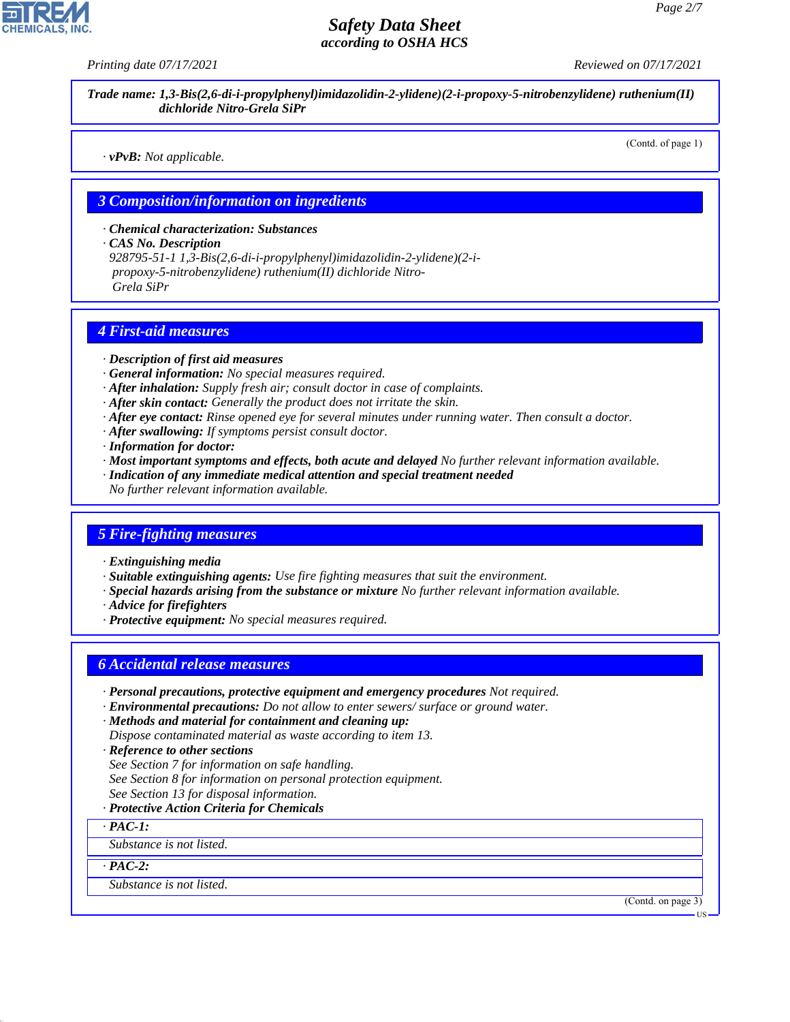*Printing date 07/17/2021 Reviewed on 07/17/2021*

*Trade name: 1,3-Bis(2,6-di-i-propylphenyl)imidazolidin-2-ylidene)(2-i-propoxy-5-nitrobenzylidene) ruthenium(II) dichloride Nitro-Grela SiPr*

*· vPvB: Not applicable.*

(Contd. of page 1)

#### *3 Composition/information on ingredients*

*· Chemical characterization: Substances*

*· CAS No. Description*

*928795-51-1 1,3-Bis(2,6-di-i-propylphenyl)imidazolidin-2-ylidene)(2-i propoxy-5-nitrobenzylidene) ruthenium(II) dichloride Nitro- Grela SiPr*

#### *4 First-aid measures*

- *· Description of first aid measures*
- *· General information: No special measures required.*
- *· After inhalation: Supply fresh air; consult doctor in case of complaints.*
- *· After skin contact: Generally the product does not irritate the skin.*
- *· After eye contact: Rinse opened eye for several minutes under running water. Then consult a doctor.*
- *· After swallowing: If symptoms persist consult doctor.*
- *· Information for doctor:*
- *· Most important symptoms and effects, both acute and delayed No further relevant information available.*
- *· Indication of any immediate medical attention and special treatment needed*
- *No further relevant information available.*

#### *5 Fire-fighting measures*

- *· Extinguishing media*
- *· Suitable extinguishing agents: Use fire fighting measures that suit the environment.*
- *· Special hazards arising from the substance or mixture No further relevant information available.*
- *· Advice for firefighters*
- *· Protective equipment: No special measures required.*

#### *6 Accidental release measures*

- *· Personal precautions, protective equipment and emergency procedures Not required.*
- *· Environmental precautions: Do not allow to enter sewers/ surface or ground water.*
- *· Methods and material for containment and cleaning up: Dispose contaminated material as waste according to item 13.*
- *· Reference to other sections*
- *See Section 7 for information on safe handling.*
- *See Section 8 for information on personal protection equipment.*
- *See Section 13 for disposal information.*

#### *· Protective Action Criteria for Chemicals*

*· PAC-1:*

*Substance is not listed.*

*· PAC-2:*

44.1.1

*Substance is not listed.*

(Contd. on page 3)

**HS**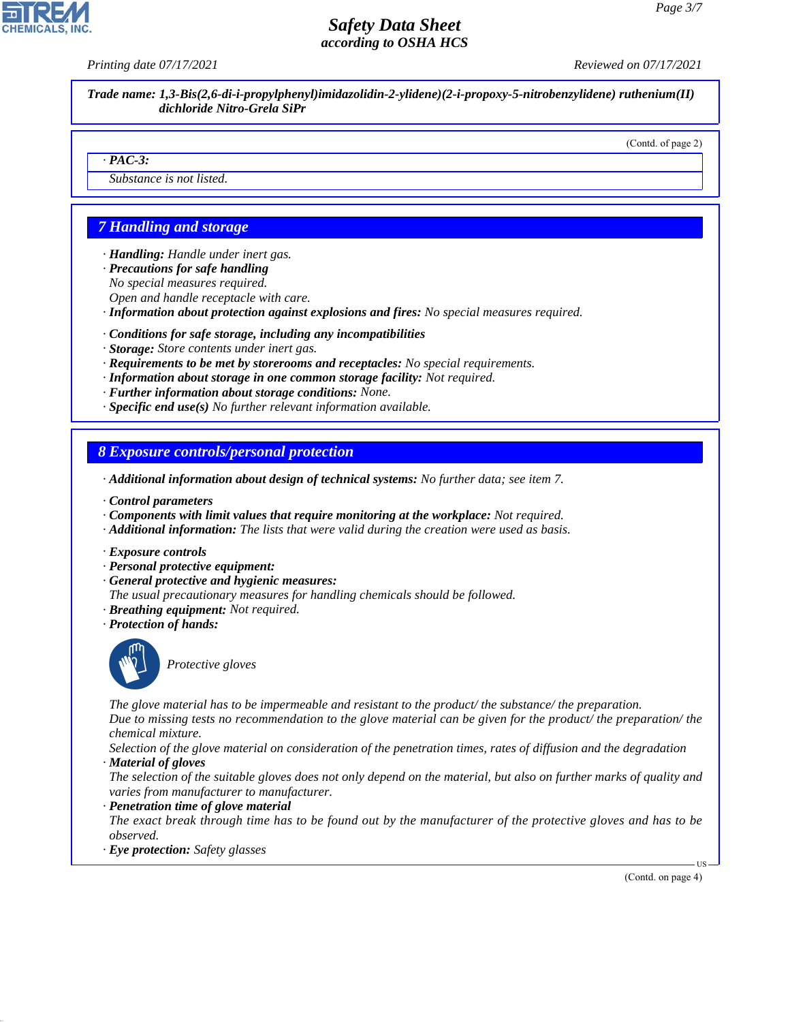*Printing date 07/17/2021 Reviewed on 07/17/2021*

*Trade name: 1,3-Bis(2,6-di-i-propylphenyl)imidazolidin-2-ylidene)(2-i-propoxy-5-nitrobenzylidene) ruthenium(II) dichloride Nitro-Grela SiPr*

#### (Contd. of page 2)

#### *· PAC-3:*

*Substance is not listed.*

## *7 Handling and storage*

*· Handling: Handle under inert gas.*

- *· Precautions for safe handling*
- *No special measures required.*
- *Open and handle receptacle with care.*
- *· Information about protection against explosions and fires: No special measures required.*
- *· Conditions for safe storage, including any incompatibilities*
- *· Storage: Store contents under inert gas.*
- *· Requirements to be met by storerooms and receptacles: No special requirements.*
- *· Information about storage in one common storage facility: Not required.*
- *· Further information about storage conditions: None.*
- *· Specific end use(s) No further relevant information available.*

#### *8 Exposure controls/personal protection*

- *· Additional information about design of technical systems: No further data; see item 7.*
- *· Control parameters*
- *· Components with limit values that require monitoring at the workplace: Not required.*
- *· Additional information: The lists that were valid during the creation were used as basis.*
- *· Exposure controls*
- *· Personal protective equipment:*
- *· General protective and hygienic measures:*
- *The usual precautionary measures for handling chemicals should be followed.*
- *· Breathing equipment: Not required.*
- *· Protection of hands:*



44.1.1

\_S*Protective gloves*

*The glove material has to be impermeable and resistant to the product/ the substance/ the preparation. Due to missing tests no recommendation to the glove material can be given for the product/ the preparation/ the chemical mixture.*

*Selection of the glove material on consideration of the penetration times, rates of diffusion and the degradation · Material of gloves*

*The selection of the suitable gloves does not only depend on the material, but also on further marks of quality and varies from manufacturer to manufacturer.*

*· Penetration time of glove material*

*The exact break through time has to be found out by the manufacturer of the protective gloves and has to be observed.*

*· Eye protection: Safety glasses*

(Contd. on page 4)

US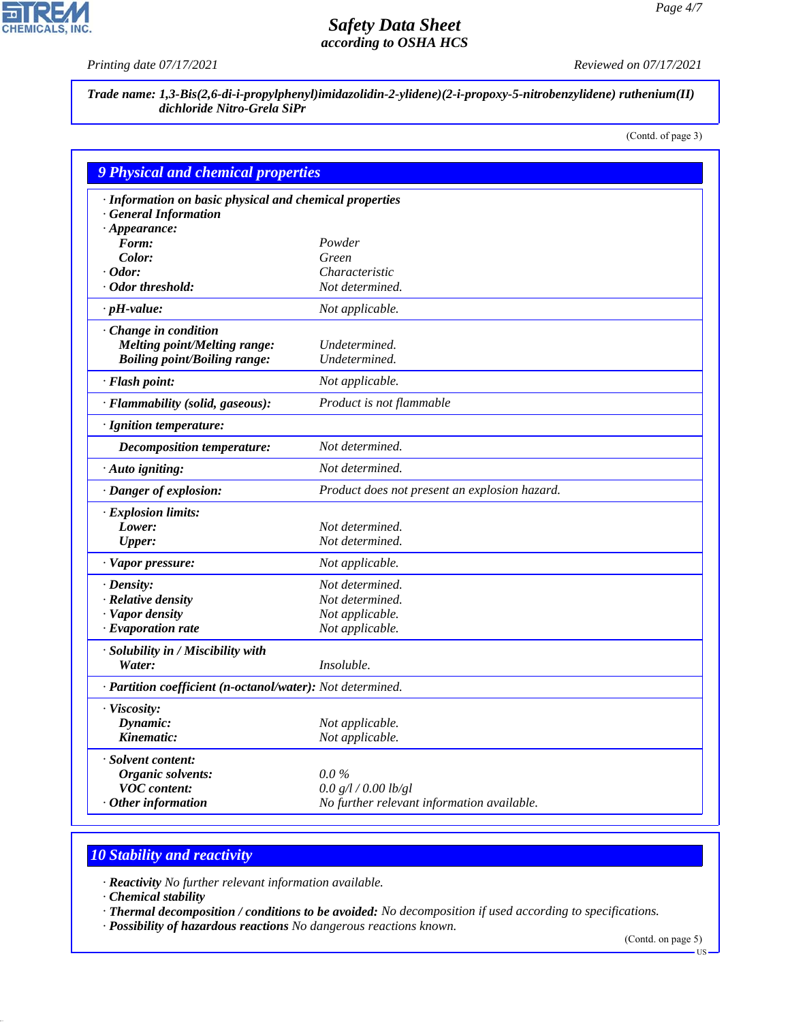P

**CHEMICALS, INC.** 

*Printing date 07/17/2021 Reviewed on 07/17/2021*

*Trade name: 1,3-Bis(2,6-di-i-propylphenyl)imidazolidin-2-ylidene)(2-i-propoxy-5-nitrobenzylidene) ruthenium(II) dichloride Nitro-Grela SiPr*

(Contd. of page 3)

| <b>9 Physical and chemical properties</b>                  |                                               |  |
|------------------------------------------------------------|-----------------------------------------------|--|
| · Information on basic physical and chemical properties    |                                               |  |
| · General Information                                      |                                               |  |
| $\cdot$ Appearance:                                        |                                               |  |
| Form:                                                      | Powder                                        |  |
| Color:                                                     | Green                                         |  |
| $\cdot$ Odor:                                              | Characteristic                                |  |
| Odor threshold:                                            | Not determined.                               |  |
| $\cdot$ pH-value:                                          | Not applicable.                               |  |
| · Change in condition                                      |                                               |  |
| <b>Melting point/Melting range:</b>                        | Undetermined.                                 |  |
| <b>Boiling point/Boiling range:</b>                        | Undetermined.                                 |  |
| · Flash point:                                             | Not applicable.                               |  |
| · Flammability (solid, gaseous):                           | Product is not flammable                      |  |
| · Ignition temperature:                                    |                                               |  |
| <b>Decomposition temperature:</b>                          | Not determined.                               |  |
| · Auto igniting:                                           | Not determined.                               |  |
| · Danger of explosion:                                     | Product does not present an explosion hazard. |  |
| · Explosion limits:                                        |                                               |  |
| Lower:                                                     | Not determined.                               |  |
| <b>Upper:</b>                                              | Not determined.                               |  |
| $\cdot$ Vapor pressure:                                    | Not applicable.                               |  |
| $\cdot$ Density:                                           | Not determined.                               |  |
| · Relative density                                         | Not determined.                               |  |
| · Vapor density                                            | Not applicable.                               |  |
| $\cdot$ Evaporation rate                                   | Not applicable.                               |  |
| · Solubility in / Miscibility with                         |                                               |  |
| Water:                                                     | Insoluble.                                    |  |
| · Partition coefficient (n-octanol/water): Not determined. |                                               |  |
| · Viscosity:                                               |                                               |  |
| Dynamic:                                                   | Not applicable.                               |  |
| Kinematic:                                                 | Not applicable.                               |  |
| · Solvent content:                                         |                                               |  |
| Organic solvents:                                          | $0.0\%$                                       |  |
| <b>VOC</b> content:                                        | 0.0 g/l / 0.00 lb/gl                          |  |
| $\cdot$ Other information                                  | No further relevant information available.    |  |

# *10 Stability and reactivity*

*· Reactivity No further relevant information available.*

*· Chemical stability*

44.1.1

*· Thermal decomposition / conditions to be avoided: No decomposition if used according to specifications.*

*· Possibility of hazardous reactions No dangerous reactions known.*

(Contd. on page 5)

US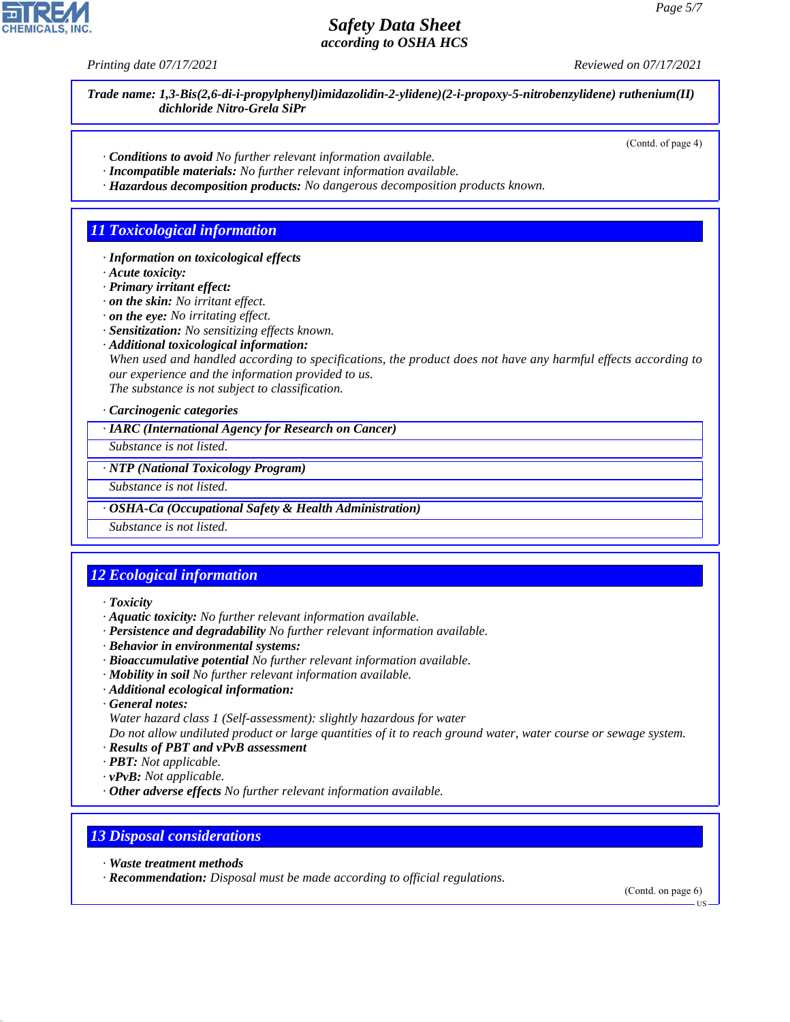*Printing date 07/17/2021 Reviewed on 07/17/2021*

*Trade name: 1,3-Bis(2,6-di-i-propylphenyl)imidazolidin-2-ylidene)(2-i-propoxy-5-nitrobenzylidene) ruthenium(II) dichloride Nitro-Grela SiPr*

(Contd. of page 4)

- *· Conditions to avoid No further relevant information available.*
- *· Incompatible materials: No further relevant information available.*
- *· Hazardous decomposition products: No dangerous decomposition products known.*

### *11 Toxicological information*

- *· Information on toxicological effects*
- *· Acute toxicity:*
- *· Primary irritant effect:*
- *· on the skin: No irritant effect.*
- *· on the eye: No irritating effect.*
- *· Sensitization: No sensitizing effects known.*
- *· Additional toxicological information:*

*When used and handled according to specifications, the product does not have any harmful effects according to our experience and the information provided to us. The substance is not subject to classification.*

*· Carcinogenic categories*

*· IARC (International Agency for Research on Cancer)*

*Substance is not listed.*

*· NTP (National Toxicology Program)*

*Substance is not listed.*

*· OSHA-Ca (Occupational Safety & Health Administration)*

*Substance is not listed.*

# *12 Ecological information*

- *· Toxicity*
- *· Aquatic toxicity: No further relevant information available.*
- *· Persistence and degradability No further relevant information available.*
- *· Behavior in environmental systems:*
- *· Bioaccumulative potential No further relevant information available.*
- *· Mobility in soil No further relevant information available.*
- *· Additional ecological information:*
- *· General notes:*
- *Water hazard class 1 (Self-assessment): slightly hazardous for water*

*Do not allow undiluted product or large quantities of it to reach ground water, water course or sewage system. · Results of PBT and vPvB assessment*

- *· PBT: Not applicable.*
- *· vPvB: Not applicable.*
- *· Other adverse effects No further relevant information available.*

#### *13 Disposal considerations*

*· Waste treatment methods*

44.1.1

*· Recommendation: Disposal must be made according to official regulations.*

(Contd. on page 6)

US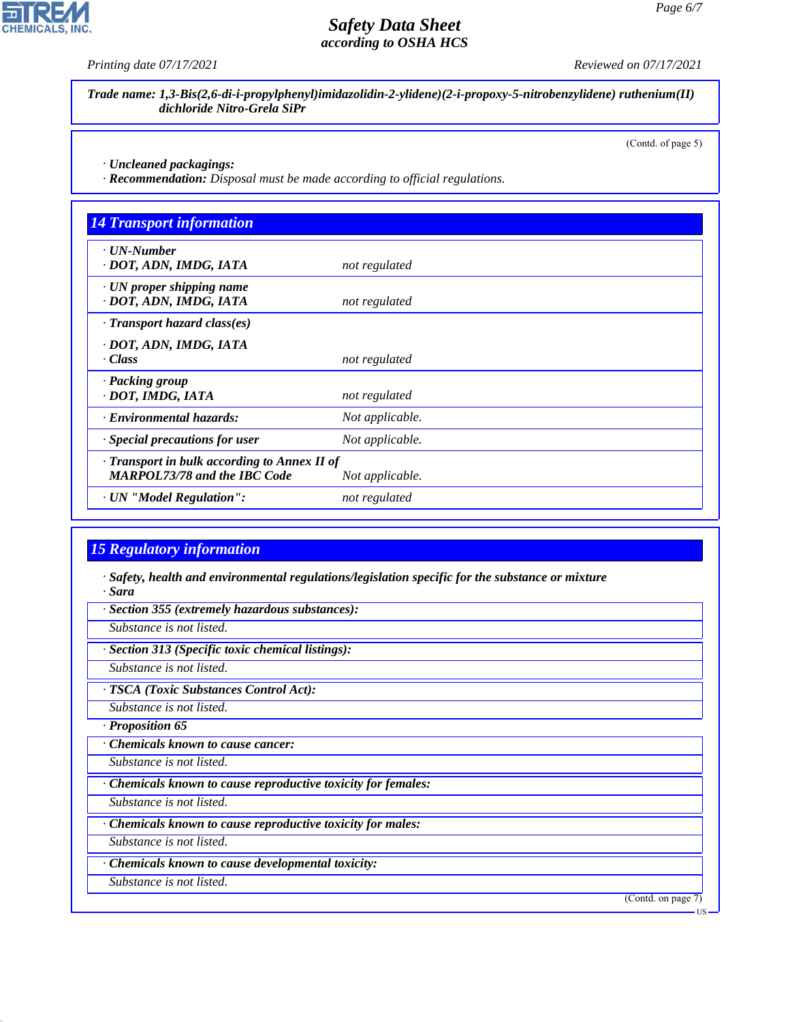*Printing date 07/17/2021 Reviewed on 07/17/2021*

*Trade name: 1,3-Bis(2,6-di-i-propylphenyl)imidazolidin-2-ylidene)(2-i-propoxy-5-nitrobenzylidene) ruthenium(II) dichloride Nitro-Grela SiPr*

(Contd. of page 5)

*· Uncleaned packagings:*

*· Recommendation: Disposal must be made according to official regulations.*

| <b>14 Transport information</b>                                                     |                 |  |
|-------------------------------------------------------------------------------------|-----------------|--|
| $\cdot$ UN-Number<br>· DOT, ADN, IMDG, IATA                                         | not regulated   |  |
| $\cdot$ UN proper shipping name<br>· DOT, ADN, IMDG, IATA                           | not regulated   |  |
| $\cdot$ Transport hazard class(es)                                                  |                 |  |
| · DOT, ADN, IMDG, IATA<br>· Class                                                   | not regulated   |  |
| · Packing group<br>· DOT, IMDG, IATA                                                | not regulated   |  |
| · Environmental hazards:                                                            | Not applicable. |  |
| · Special precautions for user                                                      | Not applicable. |  |
| · Transport in bulk according to Annex II of<br><b>MARPOL73/78 and the IBC Code</b> | Not applicable. |  |
| · UN "Model Regulation":                                                            | not regulated   |  |

#### *15 Regulatory information*

*· Safety, health and environmental regulations/legislation specific for the substance or mixture · Sara*

*· Section 355 (extremely hazardous substances):*

*Substance is not listed.*

*· Section 313 (Specific toxic chemical listings):*

*Substance is not listed.*

*· TSCA (Toxic Substances Control Act):*

*Substance is not listed.*

*· Proposition 65*

*· Chemicals known to cause cancer:*

*Substance is not listed.*

*· Chemicals known to cause reproductive toxicity for females:*

*Substance is not listed.*

*· Chemicals known to cause reproductive toxicity for males:*

*Substance is not listed.*

*· Chemicals known to cause developmental toxicity:*

*Substance is not listed.*

44.1.1

(Contd. on page 7)



US